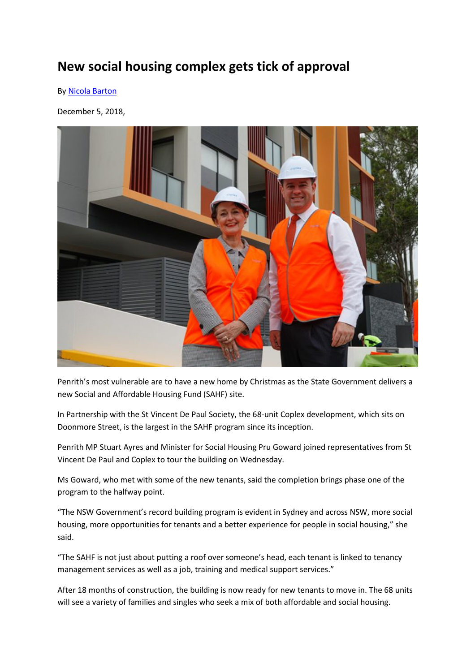## New social housing complex gets tick of approval

By Nicola Barton

December 5, 2018,



Penrith's most vulnerable are to have a new home by Christmas as the State Government delivers a new Social and Affordable Housing Fund (SAHF) site.

In Partnership with the St Vincent De Paul Society, the 68-unit Coplex development, which sits on Doonmore Street, is the largest in the SAHF program since its inception.

Penrith MP Stuart Ayres and Minister for Social Housing Pru Goward joined representatives from St Vincent De Paul and Coplex to tour the building on Wednesday.

Ms Goward, who met with some of the new tenants, said the completion brings phase one of the program to the halfway point.

"The NSW Government's record building program is evident in Sydney and across NSW, more social housing, more opportunities for tenants and a better experience for people in social housing," she said.

"The SAHF is not just about putting a roof over someone's head, each tenant is linked to tenancy management services as well as a job, training and medical support services."

After 18 months of construction, the building is now ready for new tenants to move in. The 68 units will see a variety of families and singles who seek a mix of both affordable and social housing.